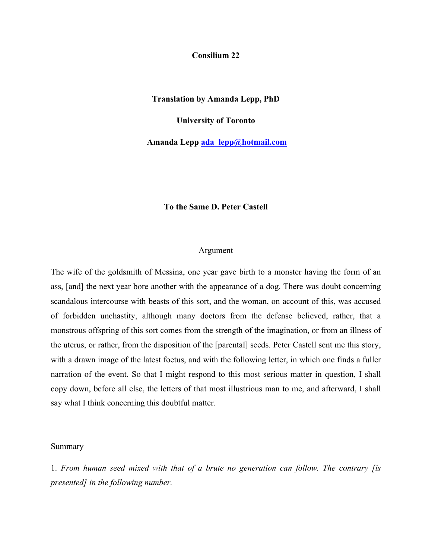**Consilium 22**

**Translation by Amanda Lepp, PhD**

**University of Toronto**

**Amanda Lepp ada\_lepp@hotmail.com**

## **To the Same D. Peter Castell**

## Argument

The wife of the goldsmith of Messina, one year gave birth to a monster having the form of an ass, [and] the next year bore another with the appearance of a dog. There was doubt concerning scandalous intercourse with beasts of this sort, and the woman, on account of this, was accused of forbidden unchastity, although many doctors from the defense believed, rather, that a monstrous offspring of this sort comes from the strength of the imagination, or from an illness of the uterus, or rather, from the disposition of the [parental] seeds. Peter Castell sent me this story, with a drawn image of the latest foetus, and with the following letter, in which one finds a fuller narration of the event. So that I might respond to this most serious matter in question, I shall copy down, before all else, the letters of that most illustrious man to me, and afterward, I shall say what I think concerning this doubtful matter.

## Summary

1. *From human seed mixed with that of a brute no generation can follow. The contrary [is presented] in the following number.*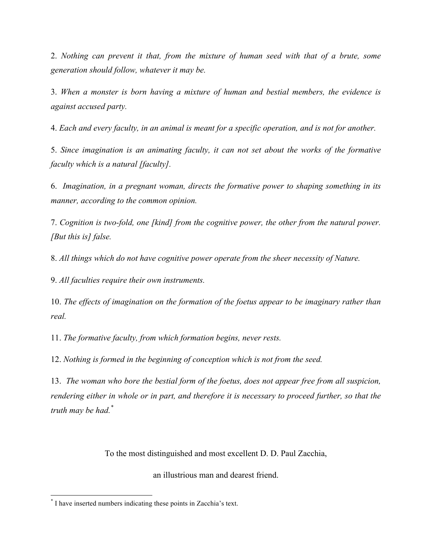2. *Nothing can prevent it that, from the mixture of human seed with that of a brute, some generation should follow, whatever it may be.*

3. *When a monster is born having a mixture of human and bestial members, the evidence is against accused party.*

4. *Each and every faculty, in an animal is meant for a specific operation, and is not for another.*

5. *Since imagination is an animating faculty, it can not set about the works of the formative faculty which is a natural [faculty].*

6. *Imagination, in a pregnant woman, directs the formative power to shaping something in its manner, according to the common opinion.* 

7. *Cognition is two-fold, one [kind] from the cognitive power, the other from the natural power. [But this is] false.*

8. *All things which do not have cognitive power operate from the sheer necessity of Nature.*

9. *All faculties require their own instruments.*

10. *The effects of imagination on the formation of the foetus appear to be imaginary rather than real.*

11. *The formative faculty, from which formation begins, never rests.*

12. *Nothing is formed in the beginning of conception which is not from the seed.*

13. *The woman who bore the bestial form of the foetus, does not appear free from all suspicion, rendering either in whole or in part, and therefore it is necessary to proceed further, so that the truth may be had.\**

To the most distinguished and most excellent D. D. Paul Zacchia,

an illustrious man and dearest friend.

<sup>\*</sup> I have inserted numbers indicating these points in Zacchia's text.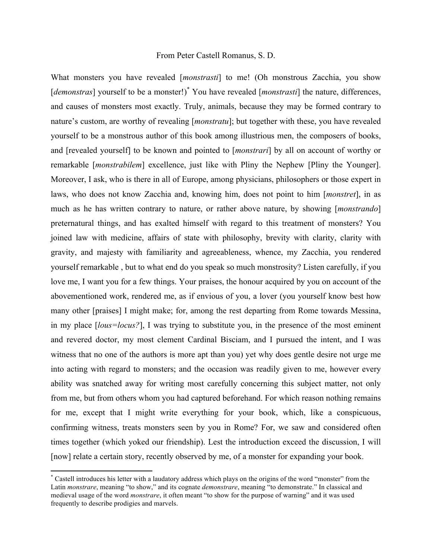## From Peter Castell Romanus, S. D.

What monsters you have revealed [*monstrasti*] to me! (Oh monstrous Zacchia, you show [*demonstras*] yourself to be a monster!)<sup>\*</sup> You have revealed [*monstrasti*] the nature, differences, and causes of monsters most exactly. Truly, animals, because they may be formed contrary to nature's custom, are worthy of revealing [*monstratu*]; but together with these, you have revealed yourself to be a monstrous author of this book among illustrious men, the composers of books, and [revealed yourself] to be known and pointed to [*monstrari*] by all on account of worthy or remarkable [*monstrabilem*] excellence, just like with Pliny the Nephew [Pliny the Younger]. Moreover, I ask, who is there in all of Europe, among physicians, philosophers or those expert in laws, who does not know Zacchia and, knowing him, does not point to him [*monstret*], in as much as he has written contrary to nature, or rather above nature, by showing [*monstrando*] preternatural things, and has exalted himself with regard to this treatment of monsters? You joined law with medicine, affairs of state with philosophy, brevity with clarity, clarity with gravity, and majesty with familiarity and agreeableness, whence, my Zacchia, you rendered yourself remarkable , but to what end do you speak so much monstrosity? Listen carefully, if you love me, I want you for a few things. Your praises, the honour acquired by you on account of the abovementioned work, rendered me, as if envious of you, a lover (you yourself know best how many other [praises] I might make; for, among the rest departing from Rome towards Messina, in my place [*lous=locus?*], I was trying to substitute you, in the presence of the most eminent and revered doctor, my most clement Cardinal Bisciam, and I pursued the intent, and I was witness that no one of the authors is more apt than you) yet why does gentle desire not urge me into acting with regard to monsters; and the occasion was readily given to me, however every ability was snatched away for writing most carefully concerning this subject matter, not only from me, but from others whom you had captured beforehand. For which reason nothing remains for me, except that I might write everything for your book, which, like a conspicuous, confirming witness, treats monsters seen by you in Rome? For, we saw and considered often times together (which yoked our friendship). Lest the introduction exceed the discussion, I will [now] relate a certain story, recently observed by me, of a monster for expanding your book.

<sup>\*</sup> Castell introduces his letter with a laudatory address which plays on the origins of the word "monster" from the Latin *monstrare*, meaning "to show," and its cognate *demonstrare*, meaning "to demonstrate." In classical and medieval usage of the word *monstrare*, it often meant "to show for the purpose of warning" and it was used frequently to describe prodigies and marvels.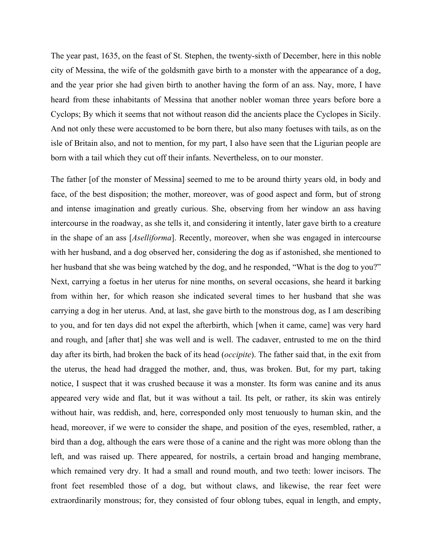The year past, 1635, on the feast of St. Stephen, the twenty-sixth of December, here in this noble city of Messina, the wife of the goldsmith gave birth to a monster with the appearance of a dog, and the year prior she had given birth to another having the form of an ass. Nay, more, I have heard from these inhabitants of Messina that another nobler woman three years before bore a Cyclops; By which it seems that not without reason did the ancients place the Cyclopes in Sicily. And not only these were accustomed to be born there, but also many foetuses with tails, as on the isle of Britain also, and not to mention, for my part, I also have seen that the Ligurian people are born with a tail which they cut off their infants. Nevertheless, on to our monster.

The father [of the monster of Messina] seemed to me to be around thirty years old, in body and face, of the best disposition; the mother, moreover, was of good aspect and form, but of strong and intense imagination and greatly curious. She, observing from her window an ass having intercourse in the roadway, as she tells it, and considering it intently, later gave birth to a creature in the shape of an ass [*Aselliforma*]. Recently, moreover, when she was engaged in intercourse with her husband, and a dog observed her, considering the dog as if astonished, she mentioned to her husband that she was being watched by the dog, and he responded, "What is the dog to you?" Next, carrying a foetus in her uterus for nine months, on several occasions, she heard it barking from within her, for which reason she indicated several times to her husband that she was carrying a dog in her uterus. And, at last, she gave birth to the monstrous dog, as I am describing to you, and for ten days did not expel the afterbirth, which [when it came, came] was very hard and rough, and [after that] she was well and is well. The cadaver, entrusted to me on the third day after its birth, had broken the back of its head (*occipite*). The father said that, in the exit from the uterus, the head had dragged the mother, and, thus, was broken. But, for my part, taking notice, I suspect that it was crushed because it was a monster. Its form was canine and its anus appeared very wide and flat, but it was without a tail. Its pelt, or rather, its skin was entirely without hair, was reddish, and, here, corresponded only most tenuously to human skin, and the head, moreover, if we were to consider the shape, and position of the eyes, resembled, rather, a bird than a dog, although the ears were those of a canine and the right was more oblong than the left, and was raised up. There appeared, for nostrils, a certain broad and hanging membrane, which remained very dry. It had a small and round mouth, and two teeth: lower incisors. The front feet resembled those of a dog, but without claws, and likewise, the rear feet were extraordinarily monstrous; for, they consisted of four oblong tubes, equal in length, and empty,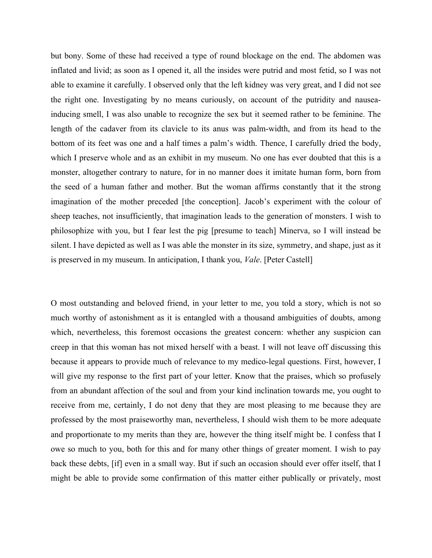but bony. Some of these had received a type of round blockage on the end. The abdomen was inflated and livid; as soon as I opened it, all the insides were putrid and most fetid, so I was not able to examine it carefully. I observed only that the left kidney was very great, and I did not see the right one. Investigating by no means curiously, on account of the putridity and nauseainducing smell, I was also unable to recognize the sex but it seemed rather to be feminine. The length of the cadaver from its clavicle to its anus was palm-width, and from its head to the bottom of its feet was one and a half times a palm's width. Thence, I carefully dried the body, which I preserve whole and as an exhibit in my museum. No one has ever doubted that this is a monster, altogether contrary to nature, for in no manner does it imitate human form, born from the seed of a human father and mother. But the woman affirms constantly that it the strong imagination of the mother preceded [the conception]. Jacob's experiment with the colour of sheep teaches, not insufficiently, that imagination leads to the generation of monsters. I wish to philosophize with you, but I fear lest the pig [presume to teach] Minerva, so I will instead be silent. I have depicted as well as I was able the monster in its size, symmetry, and shape, just as it is preserved in my museum. In anticipation, I thank you, *Vale*. [Peter Castell]

O most outstanding and beloved friend, in your letter to me, you told a story, which is not so much worthy of astonishment as it is entangled with a thousand ambiguities of doubts, among which, nevertheless, this foremost occasions the greatest concern: whether any suspicion can creep in that this woman has not mixed herself with a beast. I will not leave off discussing this because it appears to provide much of relevance to my medico-legal questions. First, however, I will give my response to the first part of your letter. Know that the praises, which so profusely from an abundant affection of the soul and from your kind inclination towards me, you ought to receive from me, certainly, I do not deny that they are most pleasing to me because they are professed by the most praiseworthy man, nevertheless, I should wish them to be more adequate and proportionate to my merits than they are, however the thing itself might be. I confess that I owe so much to you, both for this and for many other things of greater moment. I wish to pay back these debts, [if] even in a small way. But if such an occasion should ever offer itself, that I might be able to provide some confirmation of this matter either publically or privately, most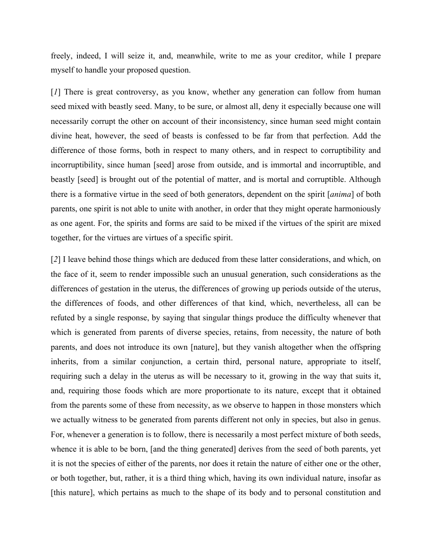freely, indeed, I will seize it, and, meanwhile, write to me as your creditor, while I prepare myself to handle your proposed question.

[*1*] There is great controversy, as you know, whether any generation can follow from human seed mixed with beastly seed. Many, to be sure, or almost all, deny it especially because one will necessarily corrupt the other on account of their inconsistency, since human seed might contain divine heat, however, the seed of beasts is confessed to be far from that perfection. Add the difference of those forms, both in respect to many others, and in respect to corruptibility and incorruptibility, since human [seed] arose from outside, and is immortal and incorruptible, and beastly [seed] is brought out of the potential of matter, and is mortal and corruptible. Although there is a formative virtue in the seed of both generators, dependent on the spirit [*anima*] of both parents, one spirit is not able to unite with another, in order that they might operate harmoniously as one agent. For, the spirits and forms are said to be mixed if the virtues of the spirit are mixed together, for the virtues are virtues of a specific spirit.

[*2*] I leave behind those things which are deduced from these latter considerations, and which, on the face of it, seem to render impossible such an unusual generation, such considerations as the differences of gestation in the uterus, the differences of growing up periods outside of the uterus, the differences of foods, and other differences of that kind, which, nevertheless, all can be refuted by a single response, by saying that singular things produce the difficulty whenever that which is generated from parents of diverse species, retains, from necessity, the nature of both parents, and does not introduce its own [nature], but they vanish altogether when the offspring inherits, from a similar conjunction, a certain third, personal nature, appropriate to itself, requiring such a delay in the uterus as will be necessary to it, growing in the way that suits it, and, requiring those foods which are more proportionate to its nature, except that it obtained from the parents some of these from necessity, as we observe to happen in those monsters which we actually witness to be generated from parents different not only in species, but also in genus. For, whenever a generation is to follow, there is necessarily a most perfect mixture of both seeds, whence it is able to be born, [and the thing generated] derives from the seed of both parents, yet it is not the species of either of the parents, nor does it retain the nature of either one or the other, or both together, but, rather, it is a third thing which, having its own individual nature, insofar as [this nature], which pertains as much to the shape of its body and to personal constitution and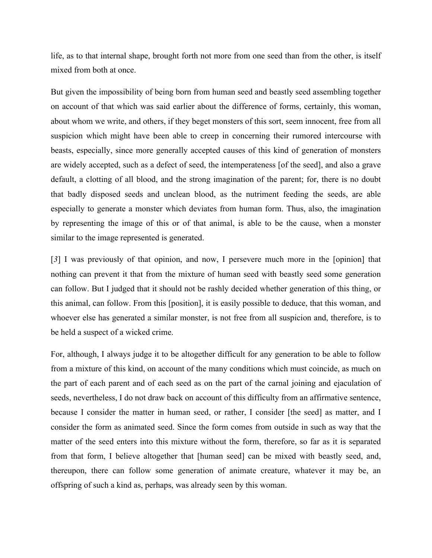life, as to that internal shape, brought forth not more from one seed than from the other, is itself mixed from both at once.

But given the impossibility of being born from human seed and beastly seed assembling together on account of that which was said earlier about the difference of forms, certainly, this woman, about whom we write, and others, if they beget monsters of this sort, seem innocent, free from all suspicion which might have been able to creep in concerning their rumored intercourse with beasts, especially, since more generally accepted causes of this kind of generation of monsters are widely accepted, such as a defect of seed, the intemperateness [of the seed], and also a grave default, a clotting of all blood, and the strong imagination of the parent; for, there is no doubt that badly disposed seeds and unclean blood, as the nutriment feeding the seeds, are able especially to generate a monster which deviates from human form. Thus, also, the imagination by representing the image of this or of that animal, is able to be the cause, when a monster similar to the image represented is generated.

[*3*] I was previously of that opinion, and now, I persevere much more in the [opinion] that nothing can prevent it that from the mixture of human seed with beastly seed some generation can follow. But I judged that it should not be rashly decided whether generation of this thing, or this animal, can follow. From this [position], it is easily possible to deduce, that this woman, and whoever else has generated a similar monster, is not free from all suspicion and, therefore, is to be held a suspect of a wicked crime.

For, although, I always judge it to be altogether difficult for any generation to be able to follow from a mixture of this kind, on account of the many conditions which must coincide, as much on the part of each parent and of each seed as on the part of the carnal joining and ejaculation of seeds, nevertheless, I do not draw back on account of this difficulty from an affirmative sentence, because I consider the matter in human seed, or rather, I consider [the seed] as matter, and I consider the form as animated seed. Since the form comes from outside in such as way that the matter of the seed enters into this mixture without the form, therefore, so far as it is separated from that form, I believe altogether that [human seed] can be mixed with beastly seed, and, thereupon, there can follow some generation of animate creature, whatever it may be, an offspring of such a kind as, perhaps, was already seen by this woman.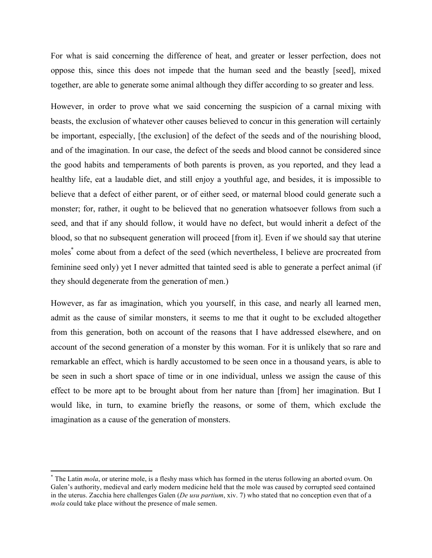For what is said concerning the difference of heat, and greater or lesser perfection, does not oppose this, since this does not impede that the human seed and the beastly [seed], mixed together, are able to generate some animal although they differ according to so greater and less.

However, in order to prove what we said concerning the suspicion of a carnal mixing with beasts, the exclusion of whatever other causes believed to concur in this generation will certainly be important, especially, [the exclusion] of the defect of the seeds and of the nourishing blood, and of the imagination. In our case, the defect of the seeds and blood cannot be considered since the good habits and temperaments of both parents is proven, as you reported, and they lead a healthy life, eat a laudable diet, and still enjoy a youthful age, and besides, it is impossible to believe that a defect of either parent, or of either seed, or maternal blood could generate such a monster; for, rather, it ought to be believed that no generation whatsoever follows from such a seed, and that if any should follow, it would have no defect, but would inherit a defect of the blood, so that no subsequent generation will proceed [from it]. Even if we should say that uterine moles\* come about from a defect of the seed (which nevertheless, I believe are procreated from feminine seed only) yet I never admitted that tainted seed is able to generate a perfect animal (if they should degenerate from the generation of men.)

However, as far as imagination, which you yourself, in this case, and nearly all learned men, admit as the cause of similar monsters, it seems to me that it ought to be excluded altogether from this generation, both on account of the reasons that I have addressed elsewhere, and on account of the second generation of a monster by this woman. For it is unlikely that so rare and remarkable an effect, which is hardly accustomed to be seen once in a thousand years, is able to be seen in such a short space of time or in one individual, unless we assign the cause of this effect to be more apt to be brought about from her nature than [from] her imagination. But I would like, in turn, to examine briefly the reasons, or some of them, which exclude the imagination as a cause of the generation of monsters.

<sup>\*</sup> The Latin *mola*, or uterine mole, is a fleshy mass which has formed in the uterus following an aborted ovum. On Galen's authority, medieval and early modern medicine held that the mole was caused by corrupted seed contained in the uterus. Zacchia here challenges Galen (*De usu partium*, xiv. 7) who stated that no conception even that of a *mola* could take place without the presence of male semen.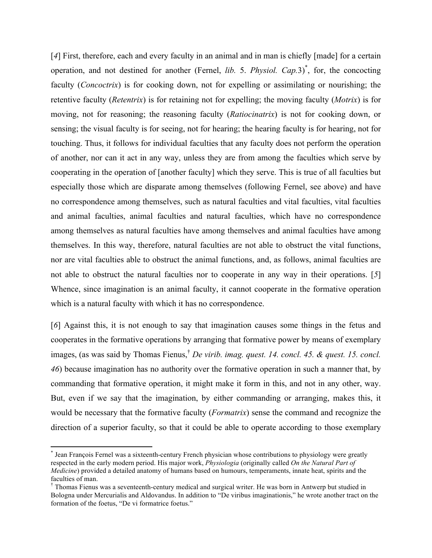[4] First, therefore, each and every faculty in an animal and in man is chiefly [made] for a certain operation, and not destined for another (Fernel, *lib.* 5. *Physiol. Cap.3*)<sup>\*</sup>, for, the concocting faculty (*Concoctrix*) is for cooking down, not for expelling or assimilating or nourishing; the retentive faculty (*Retentrix*) is for retaining not for expelling; the moving faculty (*Motrix*) is for moving, not for reasoning; the reasoning faculty (*Ratiocinatrix*) is not for cooking down, or sensing; the visual faculty is for seeing, not for hearing; the hearing faculty is for hearing, not for touching. Thus, it follows for individual faculties that any faculty does not perform the operation of another, nor can it act in any way, unless they are from among the faculties which serve by cooperating in the operation of [another faculty] which they serve. This is true of all faculties but especially those which are disparate among themselves (following Fernel, see above) and have no correspondence among themselves, such as natural faculties and vital faculties, vital faculties and animal faculties, animal faculties and natural faculties, which have no correspondence among themselves as natural faculties have among themselves and animal faculties have among themselves. In this way, therefore, natural faculties are not able to obstruct the vital functions, nor are vital faculties able to obstruct the animal functions, and, as follows, animal faculties are not able to obstruct the natural faculties nor to cooperate in any way in their operations. [*5*] Whence, since imagination is an animal faculty, it cannot cooperate in the formative operation which is a natural faculty with which it has no correspondence.

[*6*] Against this, it is not enough to say that imagination causes some things in the fetus and cooperates in the formative operations by arranging that formative power by means of exemplary images, (as was said by Thomas Fienus,<sup>†</sup> *De virib. imag. quest. 14. concl. 45. & quest. 15. concl. 46*) because imagination has no authority over the formative operation in such a manner that, by commanding that formative operation, it might make it form in this, and not in any other, way. But, even if we say that the imagination, by either commanding or arranging, makes this, it would be necessary that the formative faculty (*Formatrix*) sense the command and recognize the direction of a superior faculty, so that it could be able to operate according to those exemplary

<sup>\*</sup> Jean François Fernel was a sixteenth-century French physician whose contributions to physiology were greatly respected in the early modern period. His major work, *Physiologia* (originally called *On the Natural Part of Medicine*) provided a detailed anatomy of humans based on humours, temperaments, innate heat, spirits and the faculties of man.

<sup>†</sup> Thomas Fienus was a seventeenth-century medical and surgical writer. He was born in Antwerp but studied in Bologna under Mercurialis and Aldovandus. In addition to "De viribus imaginationis," he wrote another tract on the formation of the foetus, "De vi formatrice foetus."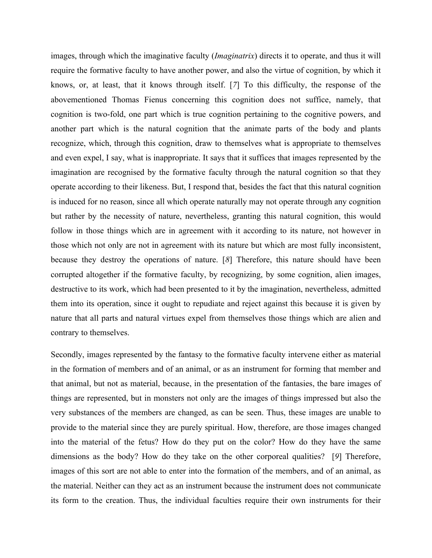images, through which the imaginative faculty (*Imaginatrix*) directs it to operate, and thus it will require the formative faculty to have another power, and also the virtue of cognition, by which it knows, or, at least, that it knows through itself. [*7*] To this difficulty, the response of the abovementioned Thomas Fienus concerning this cognition does not suffice, namely, that cognition is two-fold, one part which is true cognition pertaining to the cognitive powers, and another part which is the natural cognition that the animate parts of the body and plants recognize, which, through this cognition, draw to themselves what is appropriate to themselves and even expel, I say, what is inappropriate. It says that it suffices that images represented by the imagination are recognised by the formative faculty through the natural cognition so that they operate according to their likeness. But, I respond that, besides the fact that this natural cognition is induced for no reason, since all which operate naturally may not operate through any cognition but rather by the necessity of nature, nevertheless, granting this natural cognition, this would follow in those things which are in agreement with it according to its nature, not however in those which not only are not in agreement with its nature but which are most fully inconsistent, because they destroy the operations of nature. [*8*] Therefore, this nature should have been corrupted altogether if the formative faculty, by recognizing, by some cognition, alien images, destructive to its work, which had been presented to it by the imagination, nevertheless, admitted them into its operation, since it ought to repudiate and reject against this because it is given by nature that all parts and natural virtues expel from themselves those things which are alien and contrary to themselves.

Secondly, images represented by the fantasy to the formative faculty intervene either as material in the formation of members and of an animal, or as an instrument for forming that member and that animal, but not as material, because, in the presentation of the fantasies, the bare images of things are represented, but in monsters not only are the images of things impressed but also the very substances of the members are changed, as can be seen. Thus, these images are unable to provide to the material since they are purely spiritual. How, therefore, are those images changed into the material of the fetus? How do they put on the color? How do they have the same dimensions as the body? How do they take on the other corporeal qualities? [*9*] Therefore, images of this sort are not able to enter into the formation of the members, and of an animal, as the material. Neither can they act as an instrument because the instrument does not communicate its form to the creation. Thus, the individual faculties require their own instruments for their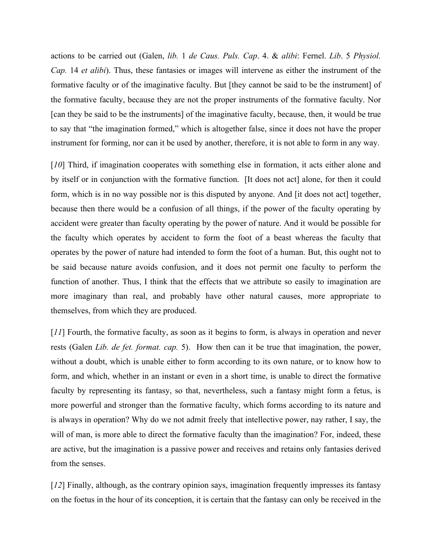actions to be carried out (Galen, *lib.* 1 *de Caus. Puls. Cap*. 4. & *alibi*: Fernel. *Lib*. 5 *Physiol. Cap.* 14 *et alibi*). Thus, these fantasies or images will intervene as either the instrument of the formative faculty or of the imaginative faculty. But [they cannot be said to be the instrument] of the formative faculty, because they are not the proper instruments of the formative faculty. Nor [can they be said to be the instruments] of the imaginative faculty, because, then, it would be true to say that "the imagination formed," which is altogether false, since it does not have the proper instrument for forming, nor can it be used by another, therefore, it is not able to form in any way.

[*10*] Third, if imagination cooperates with something else in formation, it acts either alone and by itself or in conjunction with the formative function. [It does not act] alone, for then it could form, which is in no way possible nor is this disputed by anyone. And [it does not act] together, because then there would be a confusion of all things, if the power of the faculty operating by accident were greater than faculty operating by the power of nature. And it would be possible for the faculty which operates by accident to form the foot of a beast whereas the faculty that operates by the power of nature had intended to form the foot of a human. But, this ought not to be said because nature avoids confusion, and it does not permit one faculty to perform the function of another. Thus, I think that the effects that we attribute so easily to imagination are more imaginary than real, and probably have other natural causes, more appropriate to themselves, from which they are produced.

[*11*] Fourth, the formative faculty, as soon as it begins to form, is always in operation and never rests (Galen *Lib. de fet. format. cap.* 5). How then can it be true that imagination, the power, without a doubt, which is unable either to form according to its own nature, or to know how to form, and which, whether in an instant or even in a short time, is unable to direct the formative faculty by representing its fantasy, so that, nevertheless, such a fantasy might form a fetus, is more powerful and stronger than the formative faculty, which forms according to its nature and is always in operation? Why do we not admit freely that intellective power, nay rather, I say, the will of man, is more able to direct the formative faculty than the imagination? For, indeed, these are active, but the imagination is a passive power and receives and retains only fantasies derived from the senses.

[*12*] Finally, although, as the contrary opinion says, imagination frequently impresses its fantasy on the foetus in the hour of its conception, it is certain that the fantasy can only be received in the